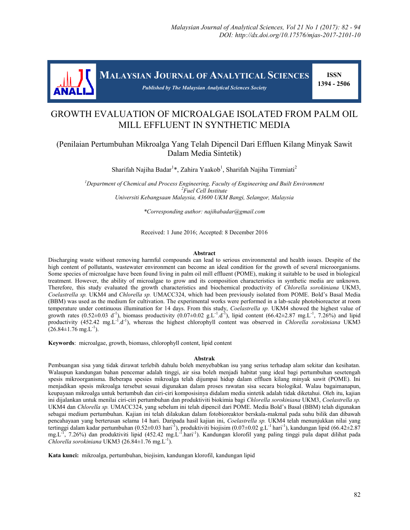

**MALAYSIAN JOURNAL OF ANALYTICAL SCIENCES**

 **ISSN 1394 - 2506**

# GROWTH EVALUATION OF MICROALGAE ISOLATED FROM PALM OIL MILL EFFLUENT IN SYNTHETIC MEDIA

*Published by The Malaysian Analytical Sciences Society*

## (Penilaian Pertumbuhan Mikroalga Yang Telah Dipencil Dari Effluen Kilang Minyak Sawit Dalam Media Sintetik)

Sharifah Najiha Badar<sup>1\*</sup>, Zahira Yaakob<sup>1</sup>, Sharifah Najiha Timmiati<sup>2</sup>

*<sup>1</sup>Department of Chemical and Process Engineering, Faculty of Engineering and Built Environment <sup>2</sup>Fuel Cell Institute Universiti Kebangsaan Malaysia, 43600 UKM Bangi, Selangor, Malaysia*

*\*Corresponding author: najihabadar@gmail.com*

Received: 1 June 2016; Accepted: 8 December 2016

#### **Abstract**

Discharging waste without removing harmful compounds can lead to serious environmental and health issues. Despite of the high content of pollutants, wastewater environment can become an ideal condition for the growth of several microorganisms. Some species of microalgae have been found living in palm oil mill effluent (POME), making it suitable to be used in biological treatment. However, the ability of microalgae to grow and its composition characteristics in synthetic media are unknown. Therefore, this study evaluated the growth characteristics and biochemical productivity of *Chlorella sorokiniana* UKM3, *Coelastrella sp.* UKM4 and *Chlorella sp.* UMACC324, which had been previously isolated from POME. Bold's Basal Media (BBM) was used as the medium for cultivation. The experimental works were performed in a lab-scale photobioreactor at room temperature under continuous illumination for 14 days. From this study, *Coelastrella sp.* UKM4 showed the highest value of growth rates (0.52±0.03 d<sup>-1</sup>), biomass productivity (0.07±0.02 g.L<sup>-1</sup>.d<sup>-1</sup>), lipid content (66.42±2.87 mg.L<sup>-1</sup>, 7.26%) and lipid productivity (452.42 mg.L<sup>-1</sup>.d<sup>-1</sup>), whereas the highest chlorophyll content was observed in *Chlorella sorokiniana* UKM3  $(26.84 \pm 1.76 \text{ mg} \cdot \text{L}^{-1})$ .

**Keywords**: microalgae, growth, biomass, chlorophyll content, lipid content

#### **Abstrak**

Pembuangan sisa yang tidak dirawat terlebih dahulu boleh menyebabkan isu yang serius terhadap alam sekitar dan kesihatan. Walaupun kandungan bahan pencemar adalah tinggi, air sisa boleh menjadi habitat yang ideal bagi pertumbuhan sesetengah spesis mikroorganisma. Beberapa spesies mikroalga telah dijumpai hidup dalam effluen kilang minyak sawit (POME). Ini menjadikan spesis mikroalga tersebut sesuai digunakan dalam proses rawatan sisa secara biologikal. Walau bagaimanapun, keupayaan mikroalga untuk bertumbuh dan ciri-ciri komposisinya didalam media sintetik adalah tidak diketahui. Oleh itu, kajian ini dijalankan untuk menilai ciri-ciri pertumbuhan dan produktiviti biokimia bagi *Chlorella sorokiniana* UKM3, *Coelastrella sp.* UKM4 dan *Chlorella sp.* UMACC324, yang sebelum ini telah dipencil dari POME. Media Bold's Basal (BBM) telah digunakan sebagai medium pertumbuhan. Kajian ini telah dilakukan dalam fotobioreaktor berskala-makmal pada suhu bilik dan dibawah pencahayaan yang berterusan selama 14 hari. Daripada hasil kajian ini, *Coelastrella sp.* UKM4 telah menunjukkan nilai yang tertinggi dalam kadar pertumbuhan  $(0.52 \pm 0.03$  hari<sup>-1</sup>), produktiviti biojisim  $(0.07 \pm 0.02$  g.L<sup>-1</sup> hari<sup>-1</sup>), kandungan lipid  $(66.42 \pm 2.87)$ mg.L<sup>-1</sup>, 7.26%) dan produktiviti lipid (452.42 mg.L<sup>-1</sup>.hari<sup>-1</sup>). Kandungan klorofil yang paling tinggi pula dapat dilihat pada  $Chlorella sorokiniana \, UKM3 \, (26.84 \pm 1.76 \, mg.L^{-1}).$ 

**Kata kunci:** mikroalga, pertumbuhan, biojisim, kandungan klorofil, kandungan lipid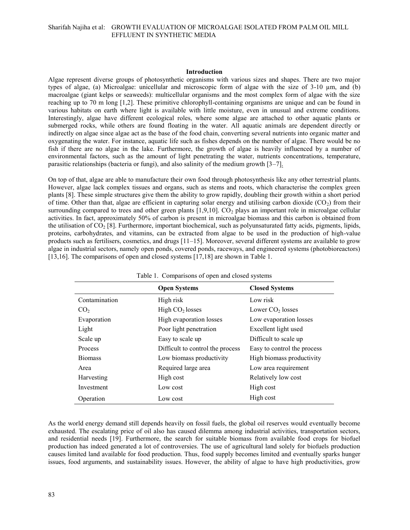#### **Introduction**

Algae represent diverse groups of photosynthetic organisms with various sizes and shapes. There are two major types of algae, (a) Microalgae: unicellular and microscopic form of algae with the size of 3-10 µm, and (b) macroalgae (giant kelps or seaweeds): multicellular organisms and the most complex form of algae with the size reaching up to 70 m long [1,2]. These primitive chlorophyll-containing organisms are unique and can be found in various habitats on earth where light is available with little moisture, even in unusual and extreme conditions. Interestingly, algae have different ecological roles, where some algae are attached to other aquatic plants or submerged rocks, while others are found floating in the water. All aquatic animals are dependent directly or indirectly on algae since algae act as the base of the food chain, converting several nutrients into organic matter and oxygenating the water. For instance, aquatic life such as fishes depends on the number of algae. There would be no fish if there are no algae in the lake. Furthermore, the growth of algae is heavily influenced by a number of environmental factors, such as the amount of light penetrating the water, nutrients concentrations, temperature, parasitic relationships (bacteria or fungi), and also salinity of the medium growth [3–7].

On top of that, algae are able to manufacture their own food through photosynthesis like any other terrestrial plants. However, algae lack complex tissues and organs, such as stems and roots, which characterise the complex green plants [8]. These simple structures give them the ability to grow rapidly, doubling their growth within a short period of time. Other than that, algae are efficient in capturing solar energy and utilising carbon dioxide  $(CO_2)$  from their surrounding compared to trees and other green plants  $[1,9,10]$ .  $CO<sub>2</sub>$  plays an important role in microalgae cellular activities. In fact, approximately 50% of carbon is present in microalgae biomass and this carbon is obtained from the utilisation of  $CO<sub>2</sub>$  [8]. Furthermore, important biochemical, such as polyunsaturated fatty acids, pigments, lipids, proteins, carbohydrates, and vitamins, can be extracted from algae to be used in the production of high-value products such as fertilisers, cosmetics, and drugs [11–15]. Moreover, several different systems are available to grow algae in industrial sectors, namely open ponds, covered ponds, raceways, and engineered systems (photobioreactors) [13,16]. The comparisons of open and closed systems [17,18] are shown in Table 1.

| Table 1. Comparisons of open and closed systems |                                  |                             |  |  |
|-------------------------------------------------|----------------------------------|-----------------------------|--|--|
|                                                 | <b>Open Systems</b>              | <b>Closed Systems</b>       |  |  |
| Contamination                                   | High risk                        | Low risk                    |  |  |
| CO <sub>2</sub>                                 | High $CO2$ losses                | Lower $CO2$ losses          |  |  |
| Evaporation                                     | High evaporation losses          | Low evaporation losses      |  |  |
| Light                                           | Poor light penetration           | Excellent light used        |  |  |
| Scale up                                        | Easy to scale up                 | Difficult to scale up       |  |  |
| <b>Process</b>                                  | Difficult to control the process | Easy to control the process |  |  |
| <b>Biomass</b>                                  | Low biomass productivity         | High biomass productivity   |  |  |
| Area                                            | Required large area              | Low area requirement        |  |  |
| Harvesting                                      | High cost                        | Relatively low cost         |  |  |
| Investment                                      | Low cost                         | High cost                   |  |  |
| Operation                                       | Low cost                         | High cost                   |  |  |

As the world energy demand still depends heavily on fossil fuels, the global oil reserves would eventually become exhausted. The escalating price of oil also has caused dilemma among industrial activities, transportation sectors, and residential needs [19]. Furthermore, the search for suitable biomass from available food crops for biofuel production has indeed generated a lot of controversies. The use of agricultural land solely for biofuels production causes limited land available for food production. Thus, food supply becomes limited and eventually sparks hunger issues, food arguments, and sustainability issues. However, the ability of algae to have high productivities, grow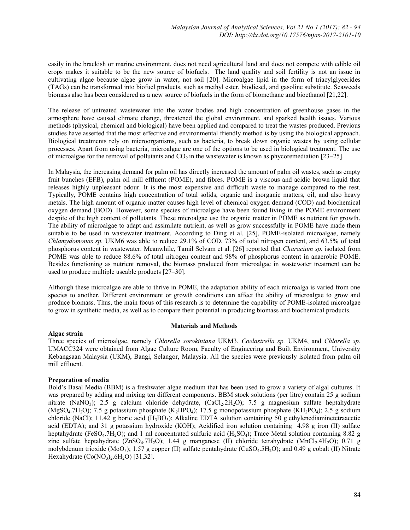easily in the brackish or marine environment, does not need agricultural land and does not compete with edible oil crops makes it suitable to be the new source of biofuels. The land quality and soil fertility is not an issue in cultivating algae because algae grow in water, not soil [20]. Microalgae lipid in the form of triacylglycerides (TAGs) can be transformed into biofuel products, such as methyl ester, biodiesel, and gasoline substitute. Seaweeds biomass also has been considered as a new source of biofuels in the form of biomethane and bioethanol [21,22].

The release of untreated wastewater into the water bodies and high concentration of greenhouse gases in the atmosphere have caused climate change, threatened the global environment, and sparked health issues. Various methods (physical, chemical and biological) have been applied and compared to treat the wastes produced. Previous studies have asserted that the most effective and environmental friendly method is by using the biological approach. Biological treatments rely on microorganisms, such as bacteria, to break down organic wastes by using cellular processes. Apart from using bacteria, microalgae are one of the options to be used in biological treatment. The use of microalgae for the removal of pollutants and  $CO<sub>2</sub>$  in the wastewater is known as phycoremediation [23–25].

In Malaysia, the increasing demand for palm oil has directly increased the amount of palm oil wastes, such as empty fruit bunches (EFB), palm oil mill effluent (POME), and fibres. POME is a viscous and acidic brown liquid that releases highly unpleasant odour. It is the most expensive and difficult waste to manage compared to the rest. Typically, POME contains high concentration of total solids, organic and inorganic matters, oil, and also heavy metals. The high amount of organic matter causes high level of chemical oxygen demand (COD) and biochemical oxygen demand (BOD). However, some species of microalgae have been found living in the POME environment despite of the high content of pollutants. These microalgae use the organic matter in POME as nutrient for growth. The ability of microalgae to adapt and assimilate nutrient, as well as grow successfully in POME have made them suitable to be used in wastewater treatment. According to Ding et al. [25], POME-isolated microalgae, namely *Chlamydomonas sp.* UKM6 was able to reduce 29.1% of COD, 73% of total nitrogen content, and 63.5% of total phosphorus content in wastewater. Meanwhile, Tamil Selvam et al. [26] reported that *Characium sp.* isolated from POME was able to reduce 88.6% of total nitrogen content and 98% of phosphorus content in anaerobic POME. Besides functioning as nutrient removal, the biomass produced from microalgae in wastewater treatment can be used to produce multiple useable products [27–30].

Although these microalgae are able to thrive in POME, the adaptation ability of each microalga is varied from one species to another. Different environment or growth conditions can affect the ability of microalgae to grow and produce biomass. Thus, the main focus of this research is to determine the capability of POME-isolated microalgae to grow in synthetic media, as well as to compare their potential in producing biomass and biochemical products.

## **Materials and Methods**

## **Algae strain**

Three species of microalgae, namely *Chlorella sorokiniana* UKM3, *Coelastrella sp.* UKM4, and *Chlorella sp.* UMACC324 were obtained from Algae Culture Room, Faculty of Engineering and Built Environment, University Kebangsaan Malaysia (UKM), Bangi, Selangor, Malaysia. All the species were previously isolated from palm oil mill effluent.

## **Preparation of media**

Bold's Basal Media (BBM) is a freshwater algae medium that has been used to grow a variety of algal cultures. It was prepared by adding and mixing ten different components. BBM stock solutions (per litre) contain 25 g sodium nitrate (NaNO<sub>3</sub>); 2.5 g calcium chloride dehydrate, (CaCl<sub>2</sub>.2H<sub>2</sub>O); 7.5 g magnesium sulfate heptahydrate (MgSO<sub>4</sub>.7H<sub>2</sub>O); 7.5 g potassium phosphate (K<sub>2</sub>HPO<sub>4</sub>); 17.5 g monopotassium phosphate (KH<sub>2</sub>PO<sub>4</sub>); 2.5 g sodium chloride (NaCl); 11.42 g boric acid (H<sub>3</sub>BO<sub>3</sub>); Alkaline EDTA solution containing 50 g ethylenediaminetetraacetic acid (EDTA); and 31 g potassium hydroxide (KOH); Acidified iron solution containing 4.98 g iron (II) sulfate heptahydrate (FeSO<sub>4</sub>.7H<sub>2</sub>O); and 1 ml concentrated sulfuric acid (H<sub>2</sub>SO<sub>4</sub>); Trace Metal solution containing 8.82 g zinc sulfate heptahydrate  $(ZnSO_4.7H_2O)$ ; 1.44 g manganese (II) chloride tetrahydrate  $(MnCl_2.4H_2O)$ ; 0.71 g molybdenum trioxide (MoO<sub>3</sub>); 1.57 g copper (II) sulfate pentahydrate (CuSO<sub>4</sub>.5H<sub>2</sub>O); and 0.49 g cobalt (II) Nitrate Hexahydrate  $(Co(NO<sub>3</sub>)<sub>2</sub>.6H<sub>2</sub>O)$  [31,32].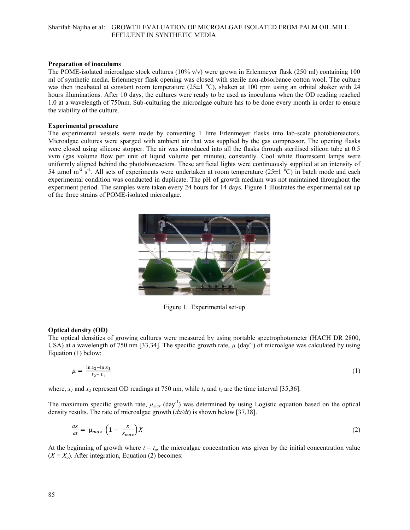## **Preparation of inoculums**

The POME-isolated microalgae stock cultures (10% v/v) were grown in Erlenmeyer flask (250 ml) containing 100 ml of synthetic media. Erlenmeyer flask opening was closed with sterile non-absorbance cotton wool. The culture was then incubated at constant room temperature (25 $\pm$ 1 °C), shaken at 100 rpm using an orbital shaker with 24 hours illuminations. After 10 days, the cultures were ready to be used as inoculums when the OD reading reached 1.0 at a wavelength of 750nm. Sub-culturing the microalgae culture has to be done every month in order to ensure the viability of the culture.

## **Experimental procedure**

The experimental vessels were made by converting 1 litre Erlenmeyer flasks into lab-scale photobioreactors. Microalgae cultures were sparged with ambient air that was supplied by the gas compressor. The opening flasks were closed using silicone stopper. The air was introduced into all the flasks through sterilised silicon tube at 0.5 vvm (gas volume flow per unit of liquid volume per minute), constantly. Cool white fluorescent lamps were uniformly aligned behind the photobioreactors. These artificial lights were continuously supplied at an intensity of 54 µmol m<sup>-2</sup> s<sup>-1</sup>. All sets of experiments were undertaken at room temperature (25 $\pm$ 1 <sup>o</sup>C) in batch mode and each experimental condition was conducted in duplicate. The pH of growth medium was not maintained throughout the experiment period. The samples were taken every 24 hours for 14 days. Figure 1 illustrates the experimental set up of the three strains of POME-isolated microalgae.



Figure 1. Experimental set-up

## **Optical density (OD)**

The optical densities of growing cultures were measured by using portable spectrophotometer (HACH DR 2800, USA) at a wavelength of 750 nm [33,34]. The specific growth rate,  $\mu$  (day<sup>-1</sup>) of microalgae was calculated by using Equation (1) below:

$$
\mu = \frac{\ln x_2 - \ln x_1}{t_2 - t_1} \tag{1}
$$

where,  $x_i$  and  $x_i$  represent OD readings at 750 nm, while  $t_i$  and  $t_i$  are the time interval [35,36].

The maximum specific growth rate,  $\mu_{max}$  (day<sup>-1</sup>) was determined by using Logistic equation based on the optical density results. The rate of microalgae growth (*dx/dt*) is shown below [37,38].

$$
\frac{dx}{dt} = \mu_{max} \left( 1 - \frac{x}{x_{max}} \right) X \tag{2}
$$

At the beginning of growth where  $t = t_0$ , the microalgae concentration was given by the initial concentration value  $(X = X_0)$ . After integration, Equation (2) becomes: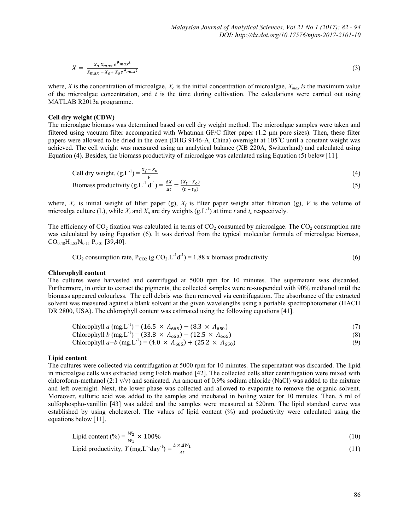$$
X = \frac{X_0 X_{max} e^{\mu_{max} t}}{X_{max} - X_0 + X_0 e^{\mu_{max} t}}
$$
(3)

where, *X* is the concentration of microalgae, *X<sup>o</sup>* is the initial concentration of microalgae, *Xmax is* the maximum value of the microalgae concentration, and *t* is the time during cultivation. The calculations were carried out using MATLAB R2013a programme.

## **Cell dry weight (CDW)**

The microalgae biomass was determined based on cell dry weight method. The microalgae samples were taken and filtered using vacuum filter accompanied with Whatman GF/C filter paper (1.2 μm pore sizes). Then, these filter papers were allowed to be dried in the oven (DHG 9146-A, China) overnight at 105<sup>o</sup>C until a constant weight was achieved. The cell weight was measured using an analytical balance (XB 220A, Switzerland) and calculated using Equation (4). Besides, the biomass productivity of microalgae was calculated using Equation (5) below [11].

Cell dry weight, 
$$
(g.L^{-1}) = \frac{x_f - x_o}{v}
$$
 (4)

Biomass productivity  $(g.L^{-1}.d^{-1}) = \frac{\Delta X}{\Delta t} = \frac{(X_t - X_o)}{(t - t_o)}$  $(t - t_{o})$ (5)

where,  $X_o$  is initial weight of filter paper (g),  $X_f$  is filter paper weight after filtration (g), *V* is the volume of microalga culture (L), while  $X_t$  and  $X_o$  are dry weights (g.L<sup>-1</sup>) at time *t* and  $t_o$  respectively.

The efficiency of  $CO_2$  fixation was calculated in terms of  $CO_2$  consumed by microalgae. The  $CO_2$  consumption rate was calculated by using Equation (6). It was derived from the typical molecular formula of microalgae biomass,  $CO<sub>0.48</sub>H<sub>1.83</sub>N<sub>0.11</sub> P<sub>0.01</sub>$  [39,40].

$$
CO2 consumption rate, PCO2 (g CO2.L-1d-1) = 1.88 x biomass productivity
$$
 (6)

#### **Chlorophyll content**

The cultures were harvested and centrifuged at 5000 rpm for 10 minutes. The supernatant was discarded. Furthermore, in order to extract the pigments, the collected samples were re-suspended with 90% methanol until the biomass appeared colourless. The cell debris was then removed via centrifugation. The absorbance of the extracted solvent was measured against a blank solvent at the given wavelengths using a portable spectrophotometer (HACH DR 2800, USA). The chlorophyll content was estimated using the following equations [41].

Chlorophyll *a* (mg.L<sup>-1</sup>) = (16.5 ×  $A_{665}$ ) – (8.3 ×  $A_{650}$ ) (7)

Chlorophyll 
$$
b \text{ (mg. L}^{-1}) = (33.8 \times A_{650}) - (12.5 \times A_{665})
$$
 (8)

Chlorophyll 
$$
a+b \text{ (mg. L}^{-1}) = (4.0 \times A_{665}) + (25.2 \times A_{650})
$$
 (9)

#### **Lipid content**

The cultures were collected via centrifugation at 5000 rpm for 10 minutes. The supernatant was discarded. The lipid in microalgae cells was extracted using Folch method [42]. The collected cells after centrifugation were mixed with chloroform-methanol (2:1 v/v) and sonicated. An amount of 0.9% sodium chloride (NaCl) was added to the mixture and left overnight. Next, the lower phase was collected and allowed to evaporate to remove the organic solvent. Moreover, sulfuric acid was added to the samples and incubated in boiling water for 10 minutes. Then, 5 ml of sulfophospho-vanillin [43] was added and the samples were measured at 520nm. The lipid standard curve was established by using cholesterol. The values of lipid content (%) and productivity were calculated using the equations below [11].

$$
Lipid content (%) = \frac{w_2}{w_1} \times 100\%
$$
\n(10)

$$
Lipid productivity, Y(mg.L^{-1}day^{-1}) = \frac{L \times \Delta W_1}{\Delta t}
$$
\n(11)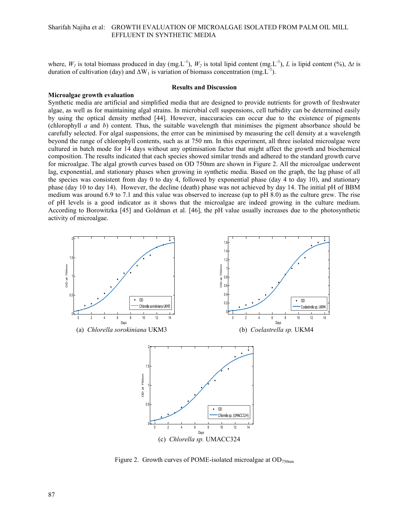where,  $W_l$  is total biomass produced in day (mg.L<sup>-1</sup>),  $W_2$  is total lipid content (mg.L<sup>-1</sup>), *L* is lipid content (%),  $\Delta t$  is duration of cultivation (day) and  $\Delta W_1$  is variation of biomass concentration (mg.L<sup>-1</sup>).

#### **Results and Discussion**

#### **Microalgae growth evaluation**

Synthetic media are artificial and simplified media that are designed to provide nutrients for growth of freshwater algae, as well as for maintaining algal strains. In microbial cell suspensions, cell turbidity can be determined easily by using the optical density method [44]. However, inaccuracies can occur due to the existence of pigments (chlorophyll *a* and *b*) content. Thus, the suitable wavelength that minimises the pigment absorbance should be carefully selected. For algal suspensions, the error can be minimised by measuring the cell density at a wavelength beyond the range of chlorophyll contents, such as at 750 nm. In this experiment, all three isolated microalgae were cultured in batch mode for 14 days without any optimisation factor that might affect the growth and biochemical composition. The results indicated that each species showed similar trends and adhered to the standard growth curve for microalgae. The algal growth curves based on OD 750nm are shown in Figure 2. All the microalgae underwent lag, exponential, and stationary phases when growing in synthetic media. Based on the graph, the lag phase of all the species was consistent from day 0 to day 4, followed by exponential phase (day 4 to day 10), and stationary phase (day 10 to day 14). However, the decline (death) phase was not achieved by day 14. The initial pH of BBM medium was around 6.9 to 7.1 and this value was observed to increase (up to pH 8.0) as the culture grew. The rise of pH levels is a good indicator as it shows that the microalgae are indeed growing in the culture medium. According to Borowitzka [45] and Goldman et al. [46], the pH value usually increases due to the photosynthetic activity of microalgae.



Figure 2. Growth curves of POME-isolated microalgae at  $OD_{750nm}$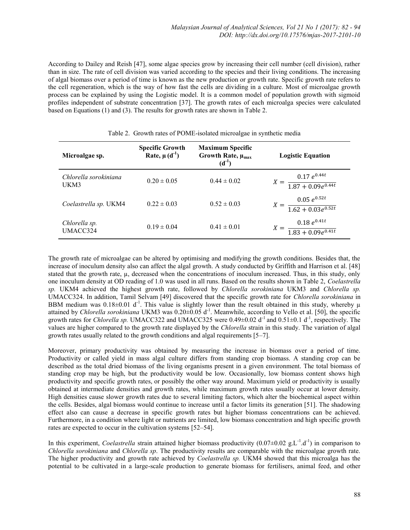According to Dailey and Reish [47], some algae species grow by increasing their cell number (cell division), rather than in size. The rate of cell division was varied according to the species and their living conditions. The increasing of algal biomass over a period of time is known as the new production or growth rate. Specific growth rate refers to the cell regeneration, which is the way of how fast the cells are dividing in a culture. Most of microalgae growth process can be explained by using the Logistic model. It is a common model of population growth with sigmoid profiles independent of substrate concentration [37]. The growth rates of each microalga species were calculated based on Equations (1) and (3). The results for growth rates are shown in Table 2.

| Microalgae sp.                | <b>Specific Growth</b><br>Rate, $\mu(d^{-1})$ | <b>Maximum Specific</b><br>Growth Rate, $\mu_{max}$<br>$(d^{-1})$ | <b>Logistic Equation</b>                           |
|-------------------------------|-----------------------------------------------|-------------------------------------------------------------------|----------------------------------------------------|
| Chlorella sorokiniana<br>UKM3 | $0.20 \pm 0.05$                               | $0.44 \pm 0.02$                                                   | $X = \frac{0.17 e^{0.44t}}{1.87 + 0.09 e^{0.44t}}$ |
| Coelastrella sp. UKM4         | $0.22 \pm 0.03$                               | $0.52 \pm 0.03$                                                   | $X = \frac{0.05 e^{0.52t}}{1.62 + 0.03e^{0.52t}}$  |
| Chlorella sp.<br>UMACC324     | $0.19 \pm 0.04$                               | $0.41 \pm 0.01$                                                   | $X = \frac{0.18 e^{0.41t}}{1.83 + 0.09 e^{0.41t}}$ |

Table 2. Growth rates of POME-isolated microalgae in synthetic media

The growth rate of microalgae can be altered by optimising and modifying the growth conditions. Besides that, the increase of inoculum density also can affect the algal growth. A study conducted by Griffith and Harrison et al. [48] stated that the growth rate, u, decreased when the concentrations of inoculum increased. Thus, in this study, only one inoculum density at OD reading of 1.0 was used in all runs. Based on the results shown in Table 2, *Coelastrella sp.* UKM4 achieved the highest growth rate, followed by *Chlorella sorokiniana* UKM3 and *Chlorella sp.* UMACC324. In addition, Tamil Selvam [49] discovered that the specific growth rate for *Chlorella sorokiniana* in BBM medium was  $0.18\pm0.01$  d<sup>-1</sup>. This value is slightly lower than the result obtained in this study, whereby  $\mu$ attained by *Chlorella sorokiniana* UKM3 was 0.20±0.05 d<sup>-1</sup>. Meanwhile, according to Vello et al. [50], the specific growth rates for *Chlorella sp.* UMACC322 and UMACC325 were  $0.49\pm0.02$  d<sup>-1</sup> and  $0.51\pm0.1$  d<sup>-1</sup>, respectively. The values are higher compared to the growth rate displayed by the *Chlorella* strain in this study. The variation of algal growth rates usually related to the growth conditions and algal requirements [5–7].

Moreover, primary productivity was obtained by measuring the increase in biomass over a period of time. Productivity or called yield in mass algal culture differs from standing crop biomass. A standing crop can be described as the total dried biomass of the living organisms present in a given environment. The total biomass of standing crop may be high, but the productivity would be low. Occasionally, low biomass content shows high productivity and specific growth rates, or possibly the other way around. Maximum yield or productivity is usually obtained at intermediate densities and growth rates, while maximum growth rates usually occur at lower density. High densities cause slower growth rates due to several limiting factors, which alter the biochemical aspect within the cells. Besides, algal biomass would continue to increase until a factor limits its generation [51]. The shadowing effect also can cause a decrease in specific growth rates but higher biomass concentrations can be achieved. Furthermore, in a condition where light or nutrients are limited, low biomass concentration and high specific growth rates are expected to occur in the cultivation systems [52–54].

In this experiment, *Coelastrella* strain attained higher biomass productivity  $(0.07 \pm 0.02 \text{ g.L}^{-1} \text{d}^{-1})$  in comparison to *Chlorella sorokiniana* and *Chlorella sp*. The productivity results are comparable with the microalgae growth rate. The higher productivity and growth rate achieved by *Coelastrella sp.* UKM4 showed that this microalga has the potential to be cultivated in a large-scale production to generate biomass for fertilisers, animal feed, and other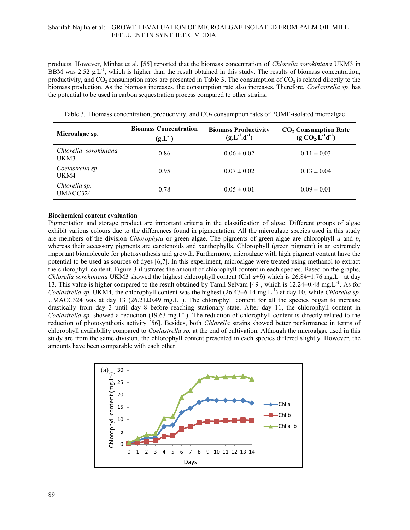products. However, Minhat et al. [55] reported that the biomass concentration of *Chlorella sorokiniana* UKM3 in BBM was 2.52  $g_{\cdot}L^{-1}$ , which is higher than the result obtained in this study. The results of biomass concentration, productivity, and CO<sub>2</sub> consumption rates are presented in Table 3. The consumption of  $CO<sub>2</sub>$  is related directly to the biomass production. As the biomass increases, the consumption rate also increases. Therefore, *Coelastrella sp*. has the potential to be used in carbon sequestration process compared to other strains.

Table 3. Biomass concentration, productivity, and  $CO<sub>2</sub>$  consumption rates of POME-isolated microalgae

| Microalgae sp.                | <b>Biomass Concentration</b><br>$(g.L^{-1})$ | <b>Biomass Productivity</b><br>$(g.L^{-1}.d^{-1})$ | $CO2$ Consumption Rate<br>(g $CO2, L-1d-1$ ) |
|-------------------------------|----------------------------------------------|----------------------------------------------------|----------------------------------------------|
| Chlorella sorokiniana<br>UKM3 | 0.86                                         | $0.06 \pm 0.02$                                    | $0.11 \pm 0.03$                              |
| Coelastrella sp.<br>UKM4      | 0.95                                         | $0.07 \pm 0.02$                                    | $0.13 \pm 0.04$                              |
| Chlorella sp.<br>UMACC324     | 0.78                                         | $0.05 \pm 0.01$                                    | $0.09 \pm 0.01$                              |

## **Biochemical content evaluation**

Pigmentation and storage product are important criteria in the classification of algae. Different groups of algae exhibit various colours due to the differences found in pigmentation. All the microalgae species used in this study are members of the division *Chlorophyta* or green algae. The pigments of green algae are chlorophyll *a* and *b*, whereas their accessory pigments are carotenoids and xanthophylls. Chlorophyll (green pigment) is an extremely important biomolecule for photosynthesis and growth. Furthermore, microalgae with high pigment content have the potential to be used as sources of dyes [6,7]. In this experiment, microalgae were treated using methanol to extract the chlorophyll content. Figure 3 illustrates the amount of chlorophyll content in each species. Based on the graphs, *Chlorella sorokiniana* UKM3 showed the highest chlorophyll content (Chl  $a+b$ ) which is 26.84 $\pm$ 1.76 mg.L<sup>-1</sup> at day 13. This value is higher compared to the result obtained by Tamil Selvam [49], which is 12.24±0.48 mg.L<sup>-1</sup>. As for Coelastrella sp. UKM4, the chlorophyll content was the highest (26.47±6.14 mg.L<sup>-1</sup>) at day 10, while *Chlorella sp.* UMACC324 was at day 13 (26.21 $\pm$ 0.49 mg.L<sup>-1</sup>). The chlorophyll content for all the species began to increase drastically from day 3 until day 8 before reaching stationary state. After day 11, the chlorophyll content in Coelastrella sp. showed a reduction (19.63 mg.L<sup>-1</sup>). The reduction of chlorophyll content is directly related to the reduction of photosynthesis activity [56]. Besides, both *Chlorella* strains showed better performance in terms of chlorophyll availability compared to *Coelastrella sp.* at the end of cultivation. Although the microalgae used in this study are from the same division, the chlorophyll content presented in each species differed slightly. However, the amounts have been comparable with each other.

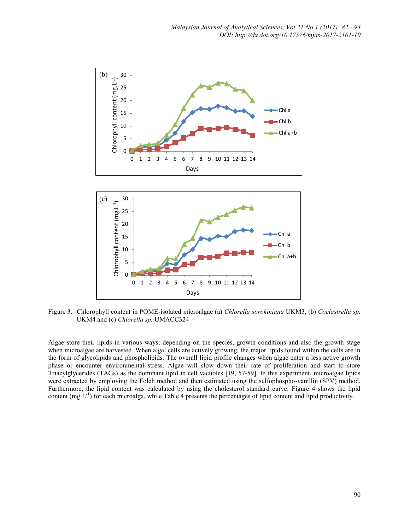

Figure 3. Chlorophyll content in POME-isolated microalgae (a) *Chlorella sorokiniana* UKM3, (b) *Coelastrella sp.*  UKM4 and (c) *Chlorella sp.* UMACC324

Algae store their lipids in various ways; depending on the species, growth conditions and also the growth stage when microalgae are harvested. When algal cells are actively growing, the major lipids found within the cells are in the form of glycolipids and phospholipids. The overall lipid profile changes when algae enter a less active growth phase or encounter environmental stress. Algae will slow down their rate of proliferation and start to store Triacylglycerides (TAGs) as the dominant lipid in cell vacuoles [19, 57-59]. In this experiment, microalgae lipids were extracted by employing the Folch method and then estimated using the sulfophospho-vanillin (SPV) method. Furthermore, the lipid content was calculated by using the cholesterol standard curve. Figure 4 shows the lipid content  $(mg, L<sup>-1</sup>)$  for each microalga, while Table 4 presents the percentages of lipid content and lipid productivity.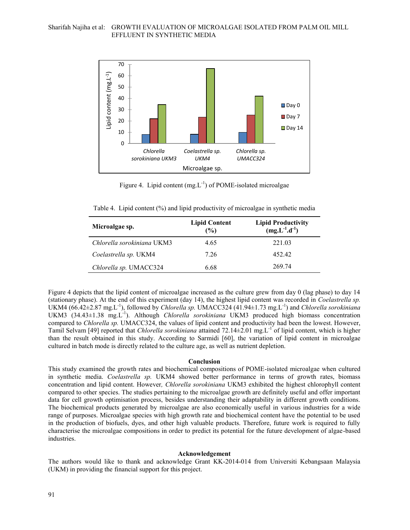

Figure 4. Lipid content  $(mg.L^{-1})$  of POME-isolated microalgae

Table 4. Lipid content (%) and lipid productivity of microalgae in synthetic media

| Microalgae sp.             | <b>Lipid Content</b><br>(%) | <b>Lipid Productivity</b><br>$\log L^{-1}$ .d <sup>-1</sup> ) |
|----------------------------|-----------------------------|---------------------------------------------------------------|
| Chlorella sorokiniana UKM3 | 4.65                        | 221.03                                                        |
| Coelastrella sp. UKM4      | 7 26                        | 452.42                                                        |
| Chlorella sp. UMACC324     | 6.68                        | 269.74                                                        |

Figure 4 depicts that the lipid content of microalgae increased as the culture grew from day 0 (lag phase) to day 14 (stationary phase). At the end of this experiment (day 14), the highest lipid content was recorded in *Coelastrella sp.*  UKM4 (66.42±2.87 mg.L<sup>-1</sup>), followed by *Chlorella sp.* UMACC324 (41.94±1.73 mg.L<sup>-1</sup>) and *Chlorella sorokiniana* UKM3 (34.43±1.38 mg.L<sup>-1</sup>). Although *Chlorella sorokiniana* UKM3 produced high biomass concentration compared to *Chlorella sp.* UMACC324, the values of lipid content and productivity had been the lowest. However, Tamil Selvam [49] reported that *Chlorella sorokiniana* attained 72.14±2.01 mg.L<sup>-1</sup> of lipid content, which is higher than the result obtained in this study. According to Sarmidi [60], the variation of lipid content in microalgae cultured in batch mode is directly related to the culture age, as well as nutrient depletion.

#### **Conclusion**

This study examined the growth rates and biochemical compositions of POME-isolated microalgae when cultured in synthetic media. *Coelastrella sp.* UKM4 showed better performance in terms of growth rates, biomass concentration and lipid content. However*, Chlorella sorokiniana* UKM3 exhibited the highest chlorophyll content compared to other species. The studies pertaining to the microalgae growth are definitely useful and offer important data for cell growth optimisation process, besides understanding their adaptability in different growth conditions. The biochemical products generated by microalgae are also economically useful in various industries for a wide range of purposes. Microalgae species with high growth rate and biochemical content have the potential to be used in the production of biofuels, dyes, and other high valuable products. Therefore, future work is required to fully characterise the microalgae compositions in order to predict its potential for the future development of algae-based industries.

#### **Acknowledgement**

The authors would like to thank and acknowledge Grant KK-2014-014 from Universiti Kebangsaan Malaysia (UKM) in providing the financial support for this project.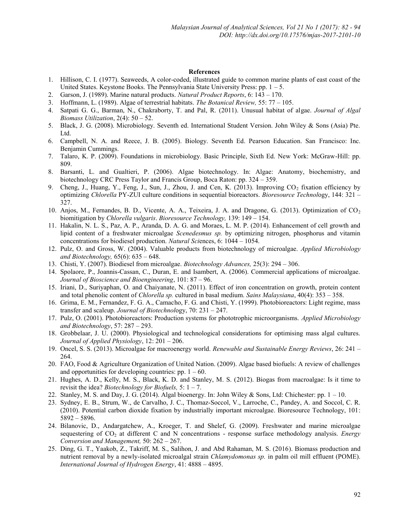### **References**

- 1. Hillison, C. I. (1977). Seaweeds, A color-coded, illustrated guide to common marine plants of east coast of the United States. Keystone Books. The Pennsylvania State University Press: pp.  $1 - 5$ .
- 2. Garson, J. (1989). Marine natural products. *Natural Product Reports*, 6: 143 170.
- 3. Hoffmann, L. (1989). Algae of terrestrial habitats. *The Botanical Review,* 55: 77 105.
- 4. Satpati G. G., Barman, N., Chakraborty, T. and Pal, R. (2011). Unusual habitat of algae. *Journal of Algal Biomass Utilization*, 2(4): 50 – 52.
- 5. Black, J. G. (2008). Microbiology. Seventh ed. International Student Version. John Wiley & Sons (Asia) Pte. Ltd.
- 6. Campbell, N. A. and Reece, J. B. (2005). Biology. Seventh Ed. Pearson Education. San Francisco: Inc. Benjamin Cummings.
- 7. Talaro, K. P. (2009). Foundations in microbiology. Basic Principle, Sixth Ed. New York: McGraw-Hill: pp. 809.
- 8. Barsanti, L. and Gualtieri, P. (2006). Algae biotechnology. In: Algae: Anatomy, biochemistry, and biotechnology CRC Press Taylor and Francis Group, Boca Raton: pp. 324 – 359.
- 9. Cheng, J., Huang, Y., Feng, J., Sun, J., Zhou, J. and Cen, K. (2013). Improving CO<sub>2</sub> fixation efficiency by optimizing *Chlorella* PY-ZUI culture conditions in sequential bioreactors. *Bioresource Technol*ogy, 144: 321 – 327.
- 10. Anjos, M., Fernandes, B. D., Vicente, A. A., Teixeira, J. A. and Dragone, G. (2013). Optimization of  $CO<sub>2</sub>$ biomitigation by *Chlorella vulgaris*. *Bioresource Technology,* 139: 149 – 154.
- 11. Hakalin, N. L. S., Paz, A. P., Aranda, D. A. G. and Moraes, L. M. P. (2014). Enhancement of cell growth and lipid content of a freshwater microalgae *Scenedesmus sp.* by optimizing nitrogen, phosphorus and vitamin concentrations for biodiesel production. *Natural Sci*ences, 6: 1044 – 1054.
- 12. Pulz, O. and Gross, W. (2004). Valuable products from biotechnology of microalgae. *Applied Microbiology and Biotechnology,* 65(6): 635 – 648.
- 13. Chisti, Y. (2007). Biodiesel from microalgae. *Biotechnology Advances,* 25(3): 294 306.
- 14. Spolaore, P., Joannis-Cassan, C., Duran, E. and Isambert, A. (2006). Commercial applications of microalgae. *Journal of Bioscience and Bioengineering*, 101: 87 – 96.
- 15. Iriani, D., Suriyaphan, O. and Chaiyanate, N. (2011). Effect of iron concentration on growth, protein content and total phenolic content of *Chlorella sp.* cultured in basal medium. *Sains Malaysiana*, 40(4): 353 – 358.
- 16. Grima, E. M., Fernandez, F. G. A., Camacho, F. G. and Chisti, Y. (1999). Photobioreactors: Light regime, mass transfer and scaleup. *Journal of Biotechnol*ogy, 70: 231 – 247.
- 17. Pulz, O. (2001). Photobioreactors: Production systems for phototrophic microorganisms. *Applied Microbiology and Biotechnology*, 57: 287 – 293.
- 18. Grobbelaar, J. U. (2000). Physiological and technological considerations for optimising mass algal cultures. *Journal of Applied Physiology*, 12: 201 – 206.
- 19. Oncel, S. S. (2013). Microalgae for macroenergy world. *Renewable and Sustainable Energy Reviews*, 26: 241 264.
- 20. FAO, Food & Agriculture Organization of United Nation. (2009). Algae based biofuels: A review of challenges and opportunities for developing countries:  $pp. 1 - 60$ .
- 21. Hughes, A. D., Kelly, M. S., Black, K. D. and Stanley, M. S. (2012). Biogas from macroalgae: Is it time to revisit the idea? *Biotechnology for Biofuels,* 5: 1 – 7.
- 22. Stanley, M. S. and Day, J. G. (2014). Algal bioenergy. In: John Wiley & Sons, Ltd: Chichester: pp.  $1 10$ .
- 23. Sydney, E. B., Strum, W., de Carvalho, J. C., Thomaz-Soccol, V., Larroche, C., Pandey, A. and Soccol, C. R. (2010). Potential carbon dioxide fixation by industrially important microalgae. Bioresource Technology, 101: 5892 – 5896.
- 24. Bilanovic, D., Andargatchew, A., Kroeger, T. and Shelef, G. (2009). Freshwater and marine microalgae sequestering of CO<sub>2</sub> at different C and N concentrations - response surface methodology analysis. *Energy Conversion and Management,* 50: 262 – 267.
- 25. Ding, G. T., Yaakob, Z., Takriff, M. S., Salihon, J. and Abd Rahaman, M. S. (2016). Biomass production and nutrient removal by a newly-isolated microalgal strain *Chlamydomonas sp.* in palm oil mill effluent (POME). *International Journal of Hydrogen Energy*, 41: 4888 – 4895.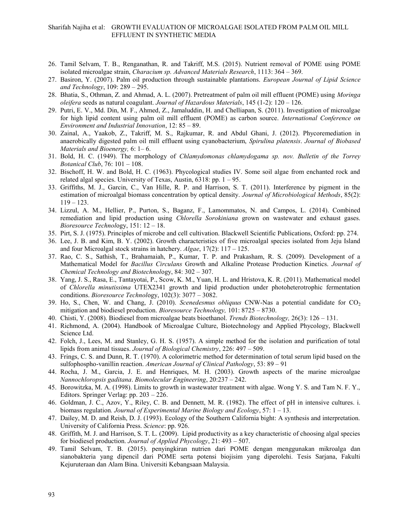- 26. Tamil Selvam, T. B., Renganathan, R. and Takriff, M.S. (2015). Nutrient removal of POME using POME isolated microalgae strain, *Characium sp. Advanced Materials Research*, 1113: 364 – 369.
- 27. Basiron, Y. (2007). Palm oil production through sustainable plantations. *European Journal of Lipid Science and Technology*, 109: 289 – 295.
- 28. Bhatia, S., Othman, Z. and Ahmad, A. L. (2007). Pretreatment of palm oil mill effluent (POME) using *Moringa oleifera* seeds as natural coagulant. *Journal of Hazardous Materials*, 145 (1-2): 120 – 126.
- 29. Putri, E. V., Md. Din, M. F., Ahmed, Z., Jamaluddin, H. and Chelliapan, S. (2011). Investigation of microalgae for high lipid content using palm oil mill effluent (POME) as carbon source. *International Conference on Environment and Industrial Innovation*, 12: 85 – 89.
- 30. Zainal, A., Yaakob, Z., Takriff, M. S., Rajkumar, R. and Abdul Ghani, J. (2012). Phycoremediation in anaerobically digested palm oil mill effluent using cyanobacterium, *Spirulina platensis*. *Journal of Biobased Materials and Bioenergy,* 6: 1– 6.
- 31. Bold, H. C. (1949). The morphology of *Chlamydomonas chlamydogama sp. nov. Bulletin of the Torrey Botanical Club*, 76: 101 – 108.
- 32. Bischoff, H. W. and Bold, H. C. (1963). Phycological studies IV. Some soil algae from enchanted rock and related algal species. University of Texas, Austin,  $6318$ : pp. 1 – 95.
- 33. Griffiths, M. J., Garcin, C., Van Hille, R. P. and Harrison, S. T. (2011). Interference by pigment in the estimation of microalgal biomass concentration by optical density. *Journal of Microbiological Methods*, 85(2): 119 – 123.
- 34. Lizzul, A. M., Hellier, P., Purton, S., Baganz, F., Lamommatos, N. and Campos, L. (2014). Combined remediation and lipid production using *Chlorella Sorokiniana* grown on wastewater and exhaust gases. *Bioresource Technol*ogy, 151: 12 – 18.
- 35. Pirt, S. J. (1975). Principles of microbe and cell cultivation. Blackwell Scientific Publications, Oxford: pp. 274.
- 36. Lee, J. B. and Kim, B. Y. (2002). Growth characteristics of five microalgal species isolated from Jeju Island and four Microalgal stock strains in hatchery. *Algae*, 17(2): 117 – 125.
- 37. Rao, C. S., Sathish, T., Brahamaiah, P., Kumar, T. P. and Prakasham, R. S. (2009). Development of a Mathematical Model for *Bacillus Circulans* Growth and Alkaline Protease Production Kinetics. *Journal of Chemical Technology and Biotechnol*ogy, 84: 302 – 307.
- 38. Yang, J. S., Rasa, E., Tantayotai, P., Scow, K. M., Yuan, H. L. and Hristova, K. R. (2011). Mathematical model of *Chlorella minutissima* UTEX2341 growth and lipid production under photoheterotrophic fermentation conditions. *Bioresource Technol*ogy, 102(3): 3077 – 3082.
- 39. Ho, S., Chen, W. and Chang, J. (2010). *Scenedesmus obliquus* CNW-Nas a potential candidate for CO<sub>2</sub> mitigation and biodiesel production. *Bioresource Technology,* 101: 8725 – 8730.
- 40. Chisti, Y. (2008). Biodiesel from microalgae beats bioethanol. *Trends Biotechnology,* 26(3): 126 131.
- 41. Richmond, A. (2004). Handbook of Microalgae Culture, Biotechnology and Applied Phycology, Blackwell Science Ltd.
- 42. Folch, J., Lees, M. and Stanley, G. H. S. (1957). A simple method for the isolation and purification of total lipids from animal tissues. *Journal of Biological Chemistry*, 226: 497 – 509.
- 43. Frings, C. S. and Dunn, R. T. (1970). A colorimetric method for determination of total serum lipid based on the sulfophospho-vanillin reaction. *American Journal of Clinical Pathology*, 53: 89 – 91
- 44. Rocha, J. M., Garcia, J. E. and Henriques, M. H. (2003). Growth aspects of the marine microalgae *Nannochloropsis gaditana*. *Biomolecular Engineering*, 20:237 – 242.
- 45. Borowitzka, M. A. (1998). Limits to growth in wastewater treatment with algae. Wong Y. S. and Tam N. F. Y., Editors. Springer Verlag: pp. 203 – 226.
- 46. Goldman, J. C., Azov, Y., Riley, C. B. and Dennett, M. R. (1982). The effect of pH in intensive cultures. i. biomass regulation*. Journal of Experimental Marine Biology and Ecology*, 57: 1 – 13.
- 47. Dailey, M. D. and Reish, D. J. (1993). Ecology of the Southern California bight: A synthesis and interpretation. University of California Press. *Science*: pp. 926.
- 48. Griffith, M. J. and Harrison, S. T. L. (2009). Lipid productivity as a key characteristic of choosing algal species for biodiesel production. *Journal of Applied Phycology*, 21: 493 – 507.
- 49. Tamil Selvam, T. B. (2015). penyingkiran nutrien dari POME dengan menggunakan mikroalga dan sianobakteria yang dipencil dari POME serta potensi biojisim yang diperolehi. Tesis Sarjana, Fakulti Kejuruteraan dan Alam Bina. Universiti Kebangsaan Malaysia.